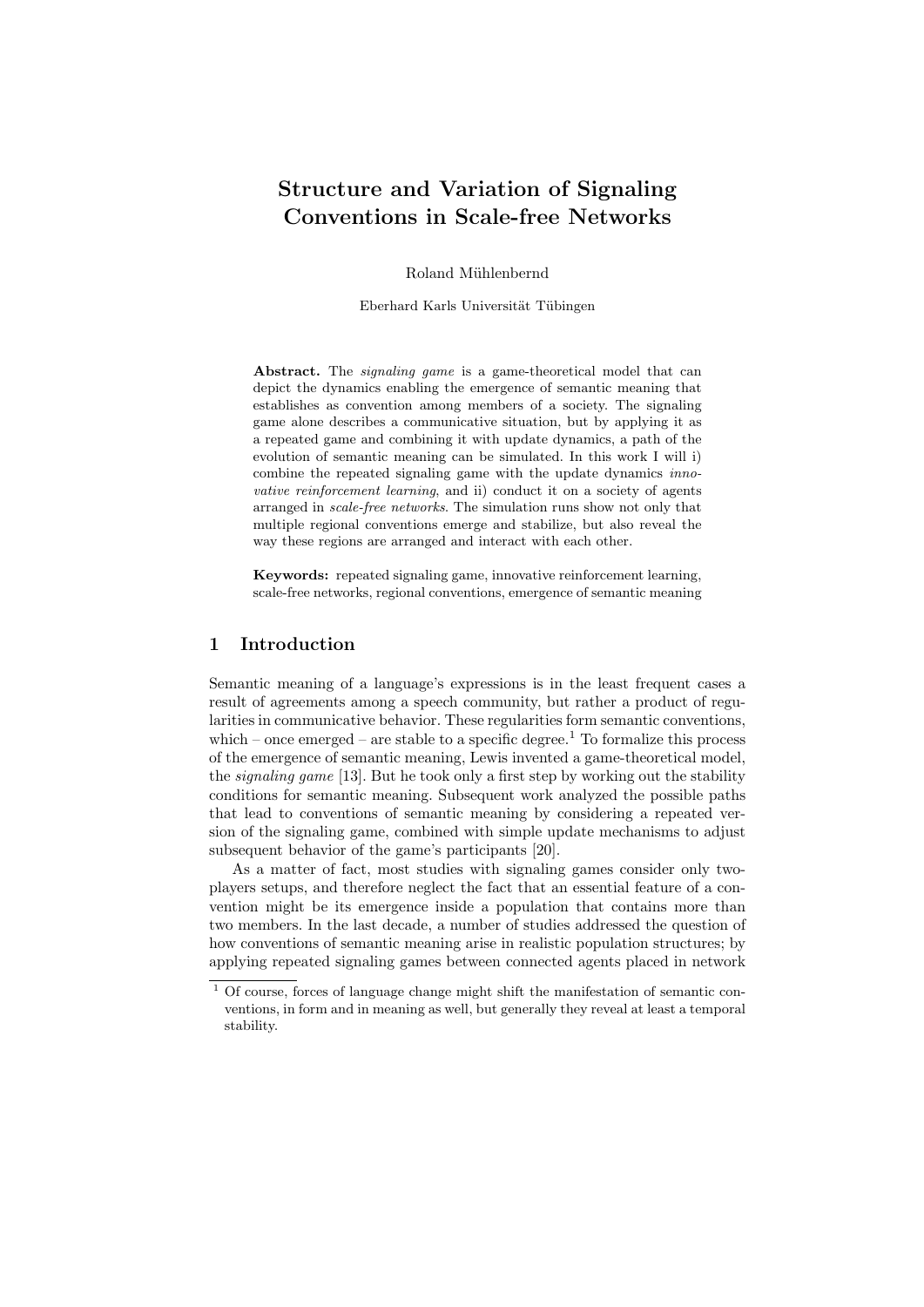# Structure and Variation of Signaling Conventions in Scale-free Networks

Roland Mühlenbernd

Eberhard Karls Universität Tübingen

Abstract. The *signaling game* is a game-theoretical model that can depict the dynamics enabling the emergence of semantic meaning that establishes as convention among members of a society. The signaling game alone describes a communicative situation, but by applying it as a repeated game and combining it with update dynamics, a path of the evolution of semantic meaning can be simulated. In this work I will i) combine the repeated signaling game with the update dynamics innovative reinforcement learning, and ii) conduct it on a society of agents arranged in scale-free networks. The simulation runs show not only that multiple regional conventions emerge and stabilize, but also reveal the way these regions are arranged and interact with each other.

Keywords: repeated signaling game, innovative reinforcement learning, scale-free networks, regional conventions, emergence of semantic meaning

## 1 Introduction

Semantic meaning of a language's expressions is in the least frequent cases a result of agreements among a speech community, but rather a product of regularities in communicative behavior. These regularities form semantic conventions, which – once emerged – are stable to a specific degree.<sup>1</sup> To formalize this process of the emergence of semantic meaning, Lewis invented a game-theoretical model, the *signaling game* [13]. But he took only a first step by working out the stability conditions for semantic meaning. Subsequent work analyzed the possible paths that lead to conventions of semantic meaning by considering a repeated version of the signaling game, combined with simple update mechanisms to adjust subsequent behavior of the game's participants [20].

As a matter of fact, most studies with signaling games consider only twoplayers setups, and therefore neglect the fact that an essential feature of a convention might be its emergence inside a population that contains more than two members. In the last decade, a number of studies addressed the question of how conventions of semantic meaning arise in realistic population structures; by applying repeated signaling games between connected agents placed in network

<sup>1</sup> Of course, forces of language change might shift the manifestation of semantic conventions, in form and in meaning as well, but generally they reveal at least a temporal stability.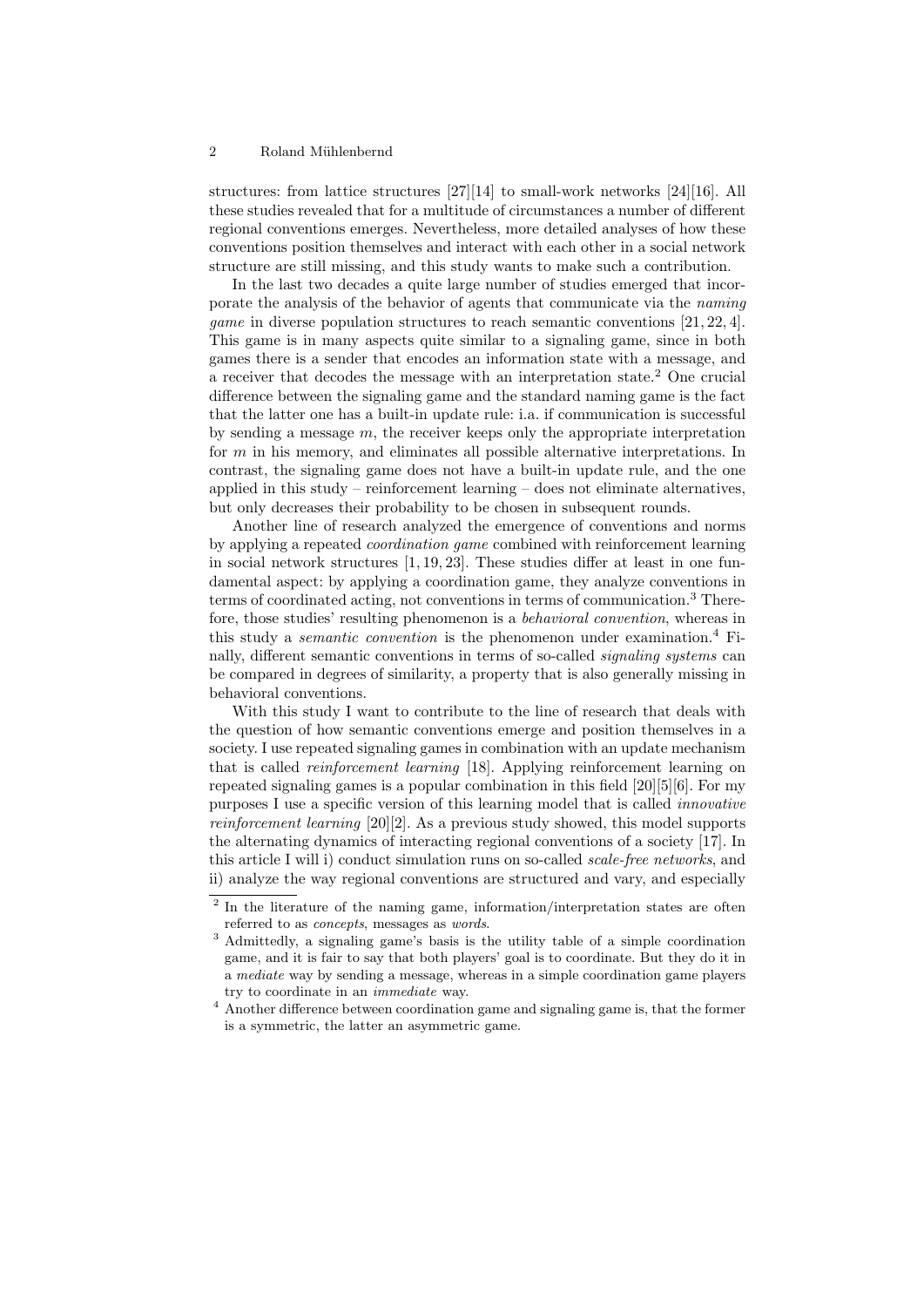#### 2 Roland Mühlenbernd

structures: from lattice structures [27][14] to small-work networks [24][16]. All these studies revealed that for a multitude of circumstances a number of different regional conventions emerges. Nevertheless, more detailed analyses of how these conventions position themselves and interact with each other in a social network structure are still missing, and this study wants to make such a contribution.

In the last two decades a quite large number of studies emerged that incorporate the analysis of the behavior of agents that communicate via the naming game in diverse population structures to reach semantic conventions [21, 22, 4]. This game is in many aspects quite similar to a signaling game, since in both games there is a sender that encodes an information state with a message, and a receiver that decodes the message with an interpretation state.<sup>2</sup> One crucial difference between the signaling game and the standard naming game is the fact that the latter one has a built-in update rule: i.a. if communication is successful by sending a message  $m$ , the receiver keeps only the appropriate interpretation for  $m$  in his memory, and eliminates all possible alternative interpretations. In contrast, the signaling game does not have a built-in update rule, and the one applied in this study – reinforcement learning – does not eliminate alternatives. but only decreases their probability to be chosen in subsequent rounds.

Another line of research analyzed the emergence of conventions and norms by applying a repeated coordination game combined with reinforcement learning in social network structures [1, 19, 23]. These studies differ at least in one fundamental aspect: by applying a coordination game, they analyze conventions in terms of coordinated acting, not conventions in terms of communication.<sup>3</sup> Therefore, those studies' resulting phenomenon is a behavioral convention, whereas in this study a *semantic convention* is the phenomenon under examination.<sup>4</sup> Finally, different semantic conventions in terms of so-called signaling systems can be compared in degrees of similarity, a property that is also generally missing in behavioral conventions.

With this study I want to contribute to the line of research that deals with the question of how semantic conventions emerge and position themselves in a society. I use repeated signaling games in combination with an update mechanism that is called reinforcement learning [18]. Applying reinforcement learning on repeated signaling games is a popular combination in this field [20][5][6]. For my purposes I use a specific version of this learning model that is called innovative reinforcement learning [20][2]. As a previous study showed, this model supports the alternating dynamics of interacting regional conventions of a society [17]. In this article I will i) conduct simulation runs on so-called scale-free networks, and ii) analyze the way regional conventions are structured and vary, and especially

<sup>&</sup>lt;sup>2</sup> In the literature of the naming game, information/interpretation states are often referred to as concepts, messages as words.

<sup>3</sup> Admittedly, a signaling game's basis is the utility table of a simple coordination game, and it is fair to say that both players' goal is to coordinate. But they do it in a mediate way by sending a message, whereas in a simple coordination game players try to coordinate in an immediate way.

<sup>4</sup> Another difference between coordination game and signaling game is, that the former is a symmetric, the latter an asymmetric game.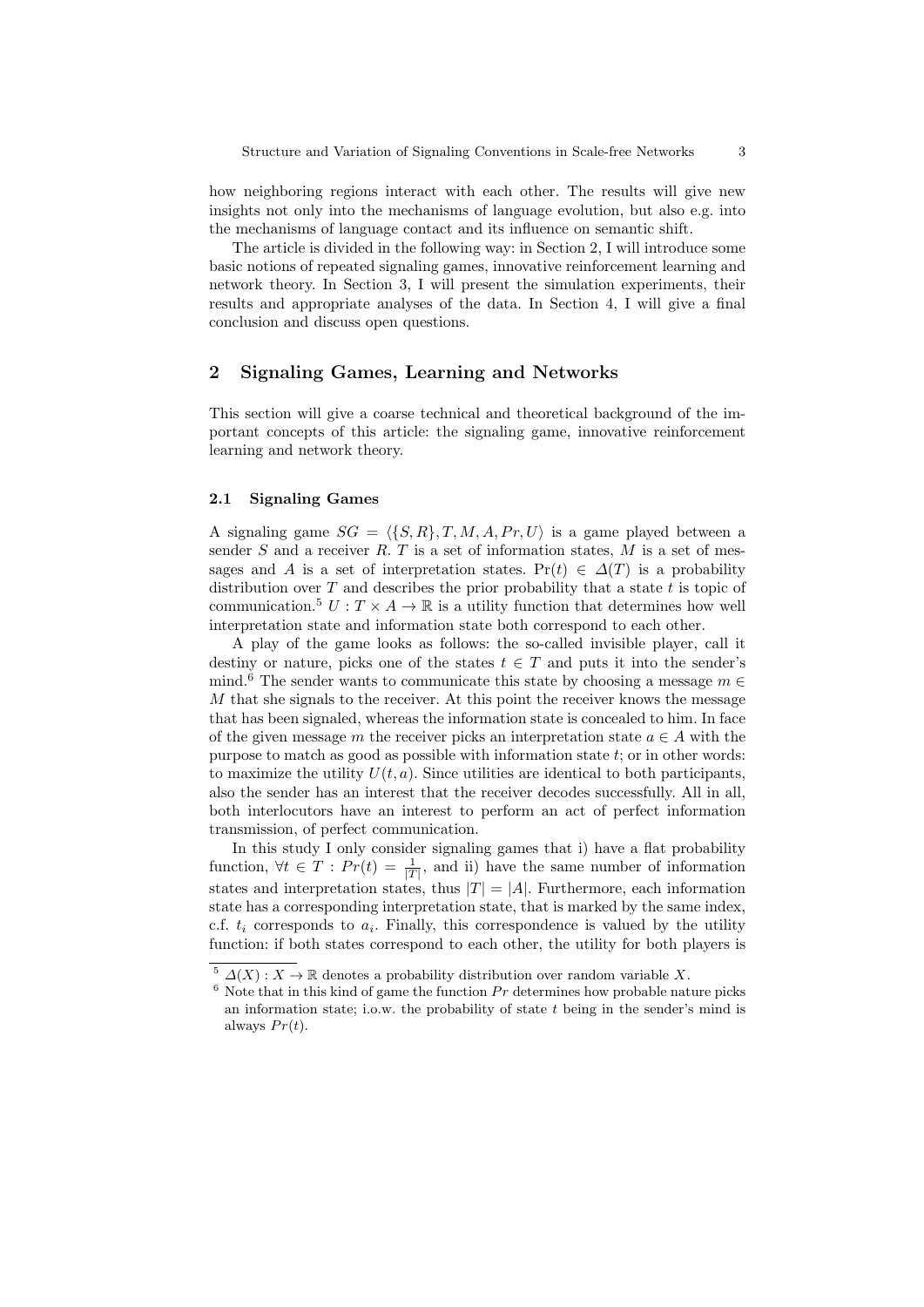how neighboring regions interact with each other. The results will give new insights not only into the mechanisms of language evolution, but also e.g. into the mechanisms of language contact and its influence on semantic shift.

The article is divided in the following way: in Section 2, I will introduce some basic notions of repeated signaling games, innovative reinforcement learning and network theory. In Section 3, I will present the simulation experiments, their results and appropriate analyses of the data. In Section 4, I will give a final conclusion and discuss open questions.

## 2 Signaling Games, Learning and Networks

This section will give a coarse technical and theoretical background of the important concepts of this article: the signaling game, innovative reinforcement learning and network theory.

#### 2.1 Signaling Games

A signaling game  $SG = \langle \{S, R\}, T, M, A, Pr, U \rangle$  is a game played between a sender  $S$  and a receiver  $R$ .  $T$  is a set of information states,  $M$  is a set of messages and A is a set of interpretation states. Pr(t)  $\in \Delta(T)$  is a probability distribution over  $T$  and describes the prior probability that a state  $t$  is topic of communication.<sup>5</sup>  $U: T \times A \rightarrow \mathbb{R}$  is a utility function that determines how well interpretation state and information state both correspond to each other.

A play of the game looks as follows: the so-called invisible player, call it destiny or nature, picks one of the states  $t \in T$  and puts it into the sender's mind.<sup>6</sup> The sender wants to communicate this state by choosing a message  $m \in$ M that she signals to the receiver. At this point the receiver knows the message that has been signaled, whereas the information state is concealed to him. In face of the given message m the receiver picks an interpretation state  $a \in A$  with the purpose to match as good as possible with information state  $t$ ; or in other words: to maximize the utility  $U(t, a)$ . Since utilities are identical to both participants, also the sender has an interest that the receiver decodes successfully. All in all, both interlocutors have an interest to perform an act of perfect information transmission, of perfect communication.

In this study I only consider signaling games that i) have a flat probability function,  $\forall t \in T : Pr(t) = \frac{1}{|T|}$ , and ii) have the same number of information states and interpretation states, thus  $|T| = |A|$ . Furthermore, each information state has a corresponding interpretation state, that is marked by the same index, c.f.  $t_i$  corresponds to  $a_i$ . Finally, this correspondence is valued by the utility function: if both states correspond to each other, the utility for both players is

<sup>&</sup>lt;sup>5</sup>  $\Delta(X)$ :  $X \to \mathbb{R}$  denotes a probability distribution over random variable X.

 $6$  Note that in this kind of game the function  $Pr$  determines how probable nature picks an information state; i.o.w. the probability of state  $t$  being in the sender's mind is always  $Pr(t)$ .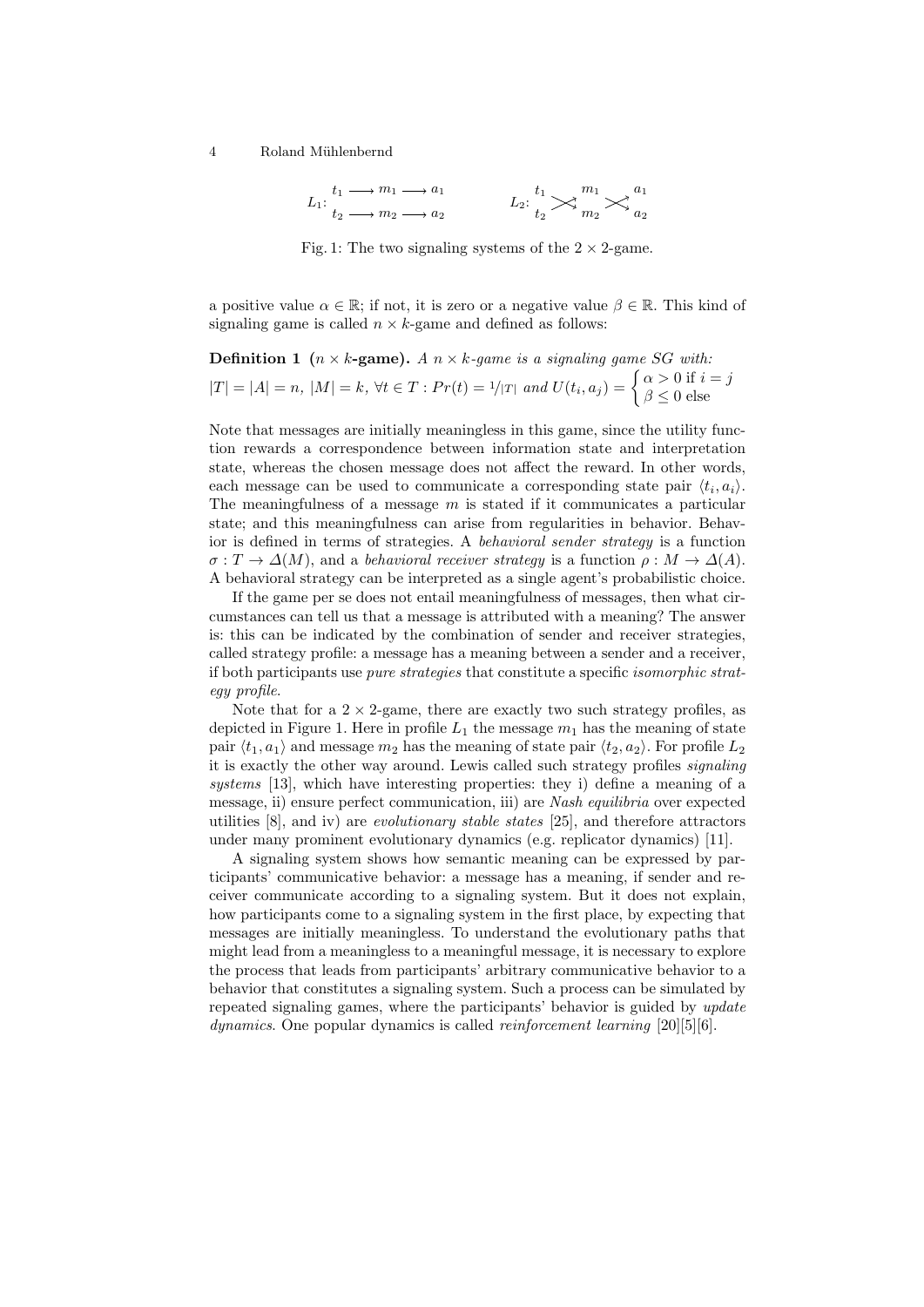4 Roland Mühlenbernd

$$
L_1: \begin{array}{c} t_1 \longrightarrow m_1 \longrightarrow a_1 \\ t_2 \longrightarrow m_2 \longrightarrow a_2 \end{array} L_2: \begin{array}{c} t_1 \\ t_2 \end{array} \begin{array}{c} m_1 \\ m_2 \end{array} \begin{array}{c} a_1 \\ a_2 \end{array}
$$

Fig. 1: The two signaling systems of the  $2 \times 2$ -game.

a positive value  $\alpha \in \mathbb{R}$ ; if not, it is zero or a negative value  $\beta \in \mathbb{R}$ . This kind of signaling game is called  $n \times k$ -game and defined as follows:

**Definition 1** 
$$
(n \times k
$$
-game).  $A \times k$ -game is a signaling game SG with:  
 $|T| = |A| = n$ ,  $|M| = k$ ,  $\forall t \in T : Pr(t) = 1/|T|$  and  $U(t_i, a_j) = \begin{cases} \alpha > 0 \text{ if } i = j \\ \beta \le 0 \text{ else} \end{cases}$ 

Note that messages are initially meaningless in this game, since the utility function rewards a correspondence between information state and interpretation state, whereas the chosen message does not affect the reward. In other words, each message can be used to communicate a corresponding state pair  $\langle t_i, a_i \rangle$ . The meaningfulness of a message  $m$  is stated if it communicates a particular state; and this meaningfulness can arise from regularities in behavior. Behavior is defined in terms of strategies. A behavioral sender strategy is a function  $\sigma: T \to \Delta(M)$ , and a behavioral receiver strategy is a function  $\rho: M \to \Delta(A)$ . A behavioral strategy can be interpreted as a single agent's probabilistic choice.

If the game per se does not entail meaningfulness of messages, then what circumstances can tell us that a message is attributed with a meaning? The answer is: this can be indicated by the combination of sender and receiver strategies, called strategy profile: a message has a meaning between a sender and a receiver, if both participants use pure strategies that constitute a specific isomorphic strategy profile.

Note that for a  $2 \times 2$ -game, there are exactly two such strategy profiles, as depicted in Figure 1. Here in profile  $L_1$  the message  $m_1$  has the meaning of state pair  $\langle t_1, a_1 \rangle$  and message  $m_2$  has the meaning of state pair  $\langle t_2, a_2 \rangle$ . For profile  $L_2$ it is exactly the other way around. Lewis called such strategy profiles signaling systems [13], which have interesting properties: they i) define a meaning of a message, ii) ensure perfect communication, iii) are Nash equilibria over expected utilities [8], and iv) are evolutionary stable states [25], and therefore attractors under many prominent evolutionary dynamics (e.g. replicator dynamics) [11].

A signaling system shows how semantic meaning can be expressed by participants' communicative behavior: a message has a meaning, if sender and receiver communicate according to a signaling system. But it does not explain, how participants come to a signaling system in the first place, by expecting that messages are initially meaningless. To understand the evolutionary paths that might lead from a meaningless to a meaningful message, it is necessary to explore the process that leads from participants' arbitrary communicative behavior to a behavior that constitutes a signaling system. Such a process can be simulated by repeated signaling games, where the participants' behavior is guided by update dynamics. One popular dynamics is called *reinforcement learning* [20][5][6].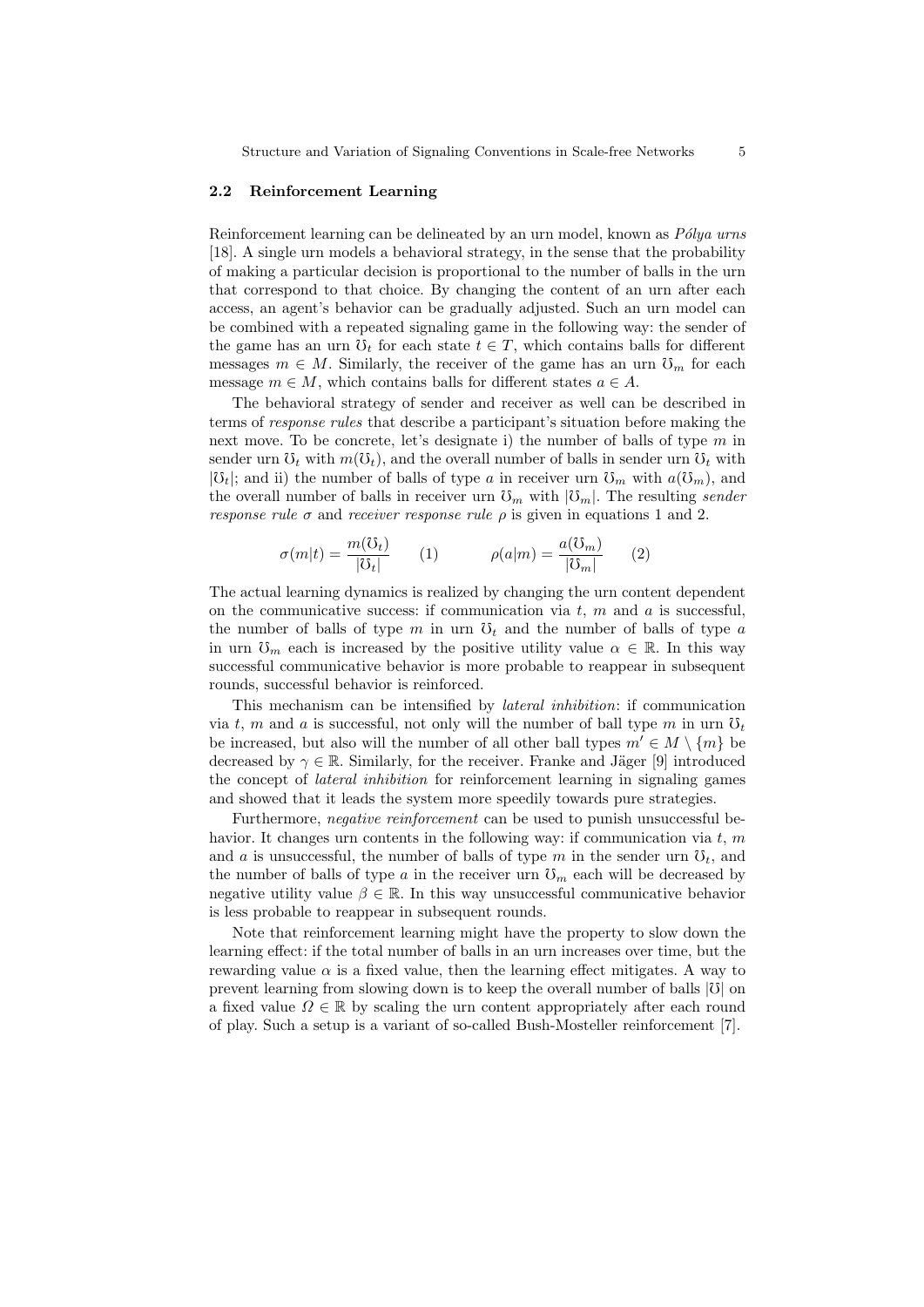#### 2.2 Reinforcement Learning

Reinforcement learning can be delineated by an urn model, known as  $P\'{o}lya$  urns [18]. A single urn models a behavioral strategy, in the sense that the probability of making a particular decision is proportional to the number of balls in the urn that correspond to that choice. By changing the content of an urn after each access, an agent's behavior can be gradually adjusted. Such an urn model can be combined with a repeated signaling game in the following way: the sender of the game has an urn  $\mathfrak{V}_t$  for each state  $t \in T$ , which contains balls for different messages  $m \in M$ . Similarly, the receiver of the game has an urn  $\mathfrak{S}_m$  for each message  $m \in M$ , which contains balls for different states  $a \in A$ .

The behavioral strategy of sender and receiver as well can be described in terms of response rules that describe a participant's situation before making the next move. To be concrete, let's designate i) the number of balls of type  $m$  in sender urn  $\mathcal{O}_t$  with  $m(\mathcal{O}_t)$ , and the overall number of balls in sender urn  $\mathcal{O}_t$  with  $|\mathfrak{V}_t|$ ; and ii) the number of balls of type a in receiver urn  $\mathfrak{V}_m$  with  $a(\mathfrak{V}_m)$ , and the overall number of balls in receiver urn  $\mathfrak{V}_m$  with  $|\mathfrak{V}_m|$ . The resulting sender response rule  $\sigma$  and receiver response rule  $\rho$  is given in equations 1 and 2.

$$
\sigma(m|t) = \frac{m(\mathcal{O}_t)}{|\mathcal{O}_t|} \qquad (1) \qquad \rho(a|m) = \frac{a(\mathcal{O}_m)}{|\mathcal{O}_m|} \qquad (2)
$$

The actual learning dynamics is realized by changing the urn content dependent on the communicative success: if communication via  $t, m$  and  $a$  is successful, the number of balls of type m in urn  $\mathfrak{V}_t$  and the number of balls of type a in urn  $\mathcal{O}_m$  each is increased by the positive utility value  $\alpha \in \mathbb{R}$ . In this way successful communicative behavior is more probable to reappear in subsequent rounds, successful behavior is reinforced.

This mechanism can be intensified by lateral inhibition: if communication via t, m and a is successful, not only will the number of ball type m in urn  $\mathfrak{V}_t$ be increased, but also will the number of all other ball types  $m' \in M \setminus \{m\}$  be decreased by  $\gamma \in \mathbb{R}$ . Similarly, for the receiver. Franke and Jäger [9] introduced the concept of lateral inhibition for reinforcement learning in signaling games and showed that it leads the system more speedily towards pure strategies.

Furthermore, negative reinforcement can be used to punish unsuccessful behavior. It changes urn contents in the following way: if communication via  $t, m$ and a is unsuccessful, the number of balls of type m in the sender urn  $\mathfrak{O}_t$ , and the number of balls of type a in the receiver urn  $\mathfrak{S}_m$  each will be decreased by negative utility value  $\beta \in \mathbb{R}$ . In this way unsuccessful communicative behavior is less probable to reappear in subsequent rounds.

Note that reinforcement learning might have the property to slow down the learning effect: if the total number of balls in an urn increases over time, but the rewarding value  $\alpha$  is a fixed value, then the learning effect mitigates. A way to prevent learning from slowing down is to keep the overall number of balls  $|\mathcal{V}|$  on a fixed value  $\Omega \in \mathbb{R}$  by scaling the urn content appropriately after each round of play. Such a setup is a variant of so-called Bush-Mosteller reinforcement [7].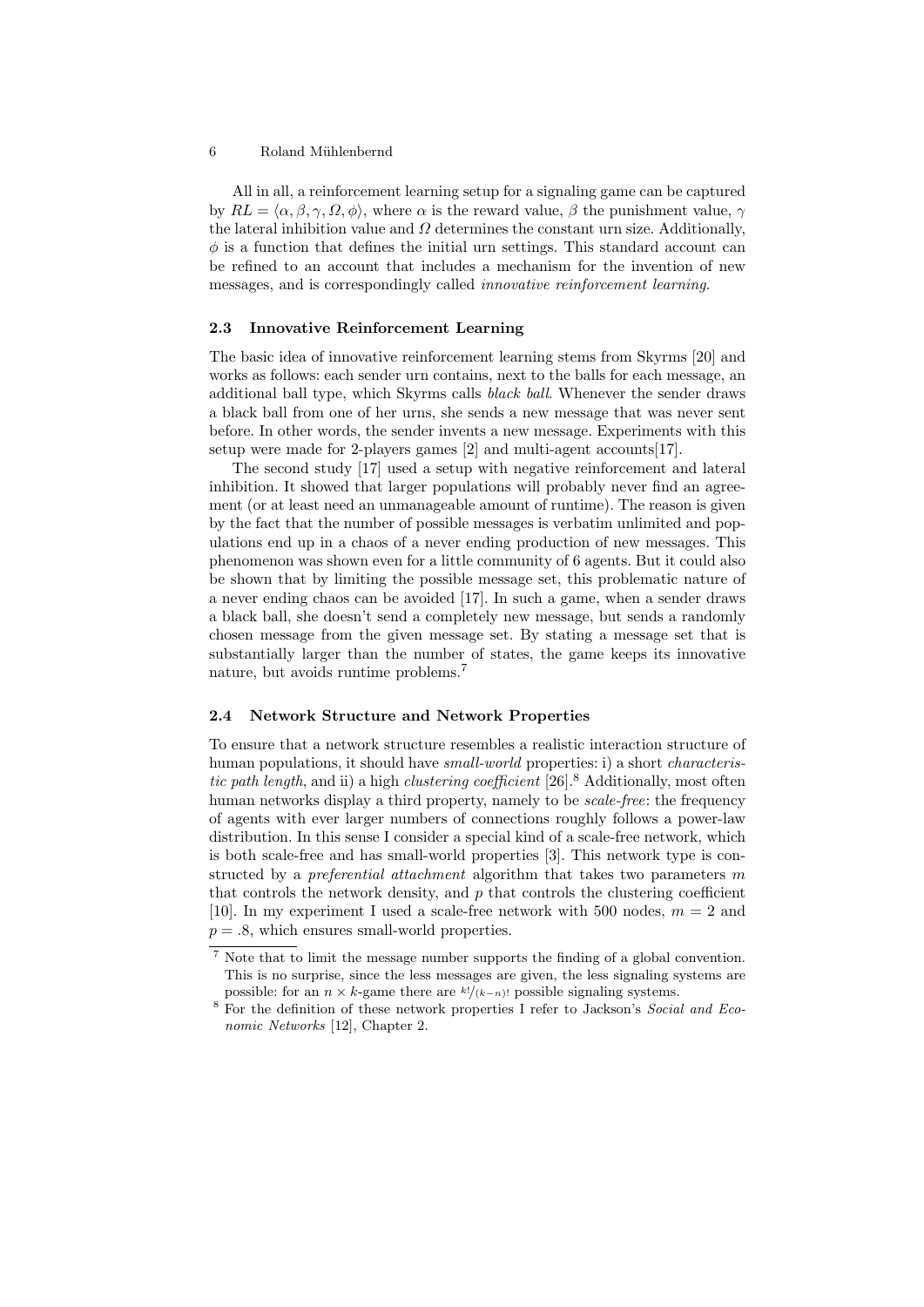#### 6 Roland Mühlenbernd

All in all, a reinforcement learning setup for a signaling game can be captured by  $RL = \langle \alpha, \beta, \gamma, \Omega, \phi \rangle$ , where  $\alpha$  is the reward value,  $\beta$  the punishment value,  $\gamma$ the lateral inhibition value and  $\Omega$  determines the constant urn size. Additionally,  $\phi$  is a function that defines the initial urn settings. This standard account can be refined to an account that includes a mechanism for the invention of new messages, and is correspondingly called innovative reinforcement learning.

#### 2.3 Innovative Reinforcement Learning

The basic idea of innovative reinforcement learning stems from Skyrms [20] and works as follows: each sender urn contains, next to the balls for each message, an additional ball type, which Skyrms calls black ball. Whenever the sender draws a black ball from one of her urns, she sends a new message that was never sent before. In other words, the sender invents a new message. Experiments with this setup were made for 2-players games [2] and multi-agent accounts[17].

The second study [17] used a setup with negative reinforcement and lateral inhibition. It showed that larger populations will probably never find an agreement (or at least need an unmanageable amount of runtime). The reason is given by the fact that the number of possible messages is verbatim unlimited and populations end up in a chaos of a never ending production of new messages. This phenomenon was shown even for a little community of 6 agents. But it could also be shown that by limiting the possible message set, this problematic nature of a never ending chaos can be avoided [17]. In such a game, when a sender draws a black ball, she doesn't send a completely new message, but sends a randomly chosen message from the given message set. By stating a message set that is substantially larger than the number of states, the game keeps its innovative nature, but avoids runtime problems.<sup>7</sup>

#### 2.4 Network Structure and Network Properties

To ensure that a network structure resembles a realistic interaction structure of human populations, it should have *small-world* properties: i) a short *characteris*tic path length, and ii) a high clustering coefficient  $[26]$ .<sup>8</sup> Additionally, most often human networks display a third property, namely to be *scale-free*: the frequency of agents with ever larger numbers of connections roughly follows a power-law distribution. In this sense I consider a special kind of a scale-free network, which is both scale-free and has small-world properties [3]. This network type is constructed by a *preferential attachment* algorithm that takes two parameters  $m$ that controls the network density, and  $p$  that controls the clustering coefficient [10]. In my experiment I used a scale-free network with 500 nodes,  $m = 2$  and  $p = .8$ , which ensures small-world properties.

Note that to limit the message number supports the finding of a global convention. This is no surprise, since the less messages are given, the less signaling systems are possible: for an  $n \times k$ -game there are  $\frac{k!}{(k-n)!}$  possible signaling systems.

<sup>8</sup> For the definition of these network properties I refer to Jackson's Social and Economic Networks [12], Chapter 2.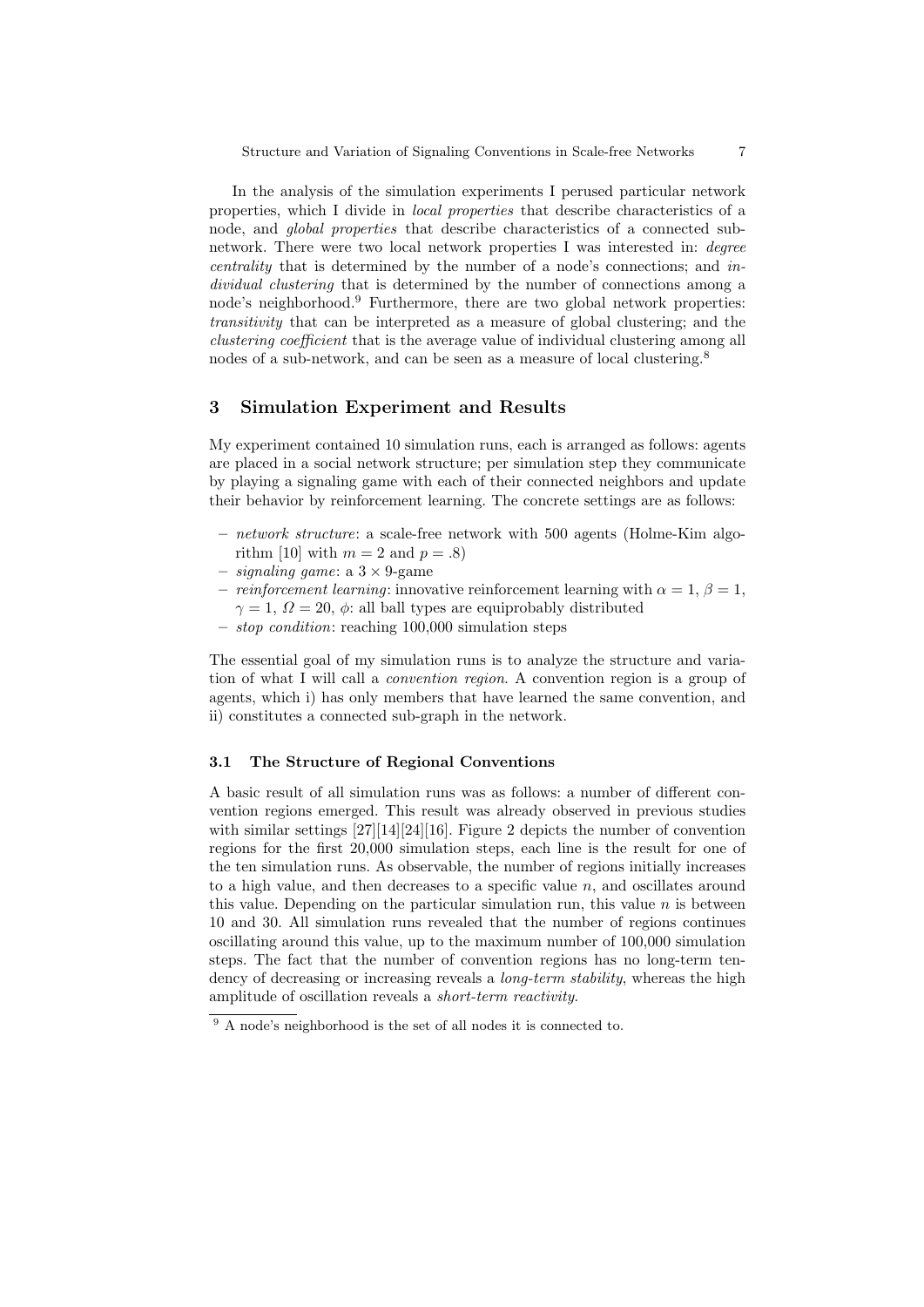In the analysis of the simulation experiments I perused particular network properties, which I divide in local properties that describe characteristics of a node, and global properties that describe characteristics of a connected subnetwork. There were two local network properties I was interested in: degree centrality that is determined by the number of a node's connections; and individual clustering that is determined by the number of connections among a node's neighborhood.<sup>9</sup> Furthermore, there are two global network properties: transitivity that can be interpreted as a measure of global clustering; and the clustering coefficient that is the average value of individual clustering among all nodes of a sub-network, and can be seen as a measure of local clustering.<sup>8</sup>

## 3 Simulation Experiment and Results

My experiment contained 10 simulation runs, each is arranged as follows: agents are placed in a social network structure; per simulation step they communicate by playing a signaling game with each of their connected neighbors and update their behavior by reinforcement learning. The concrete settings are as follows:

- network structure: a scale-free network with 500 agents (Holme-Kim algorithm [10] with  $m = 2$  and  $p = .8$ )
- $-$  *signaling game*: a  $3 \times 9$ -game
- reinforcement learning: innovative reinforcement learning with  $\alpha = 1, \beta = 1$ ,  $\gamma = 1, \Omega = 20, \phi$ : all ball types are equiprobably distributed
- $stop condition: reaching 100,000 simulation steps$

The essential goal of my simulation runs is to analyze the structure and variation of what I will call a convention region. A convention region is a group of agents, which i) has only members that have learned the same convention, and ii) constitutes a connected sub-graph in the network.

#### 3.1 The Structure of Regional Conventions

A basic result of all simulation runs was as follows: a number of different convention regions emerged. This result was already observed in previous studies with similar settings [27][14][24][16]. Figure 2 depicts the number of convention regions for the first 20,000 simulation steps, each line is the result for one of the ten simulation runs. As observable, the number of regions initially increases to a high value, and then decreases to a specific value  $n$ , and oscillates around this value. Depending on the particular simulation run, this value  $n$  is between 10 and 30. All simulation runs revealed that the number of regions continues oscillating around this value, up to the maximum number of 100,000 simulation steps. The fact that the number of convention regions has no long-term tendency of decreasing or increasing reveals a *long-term stability*, whereas the high amplitude of oscillation reveals a short-term reactivity.

<sup>9</sup> A node's neighborhood is the set of all nodes it is connected to.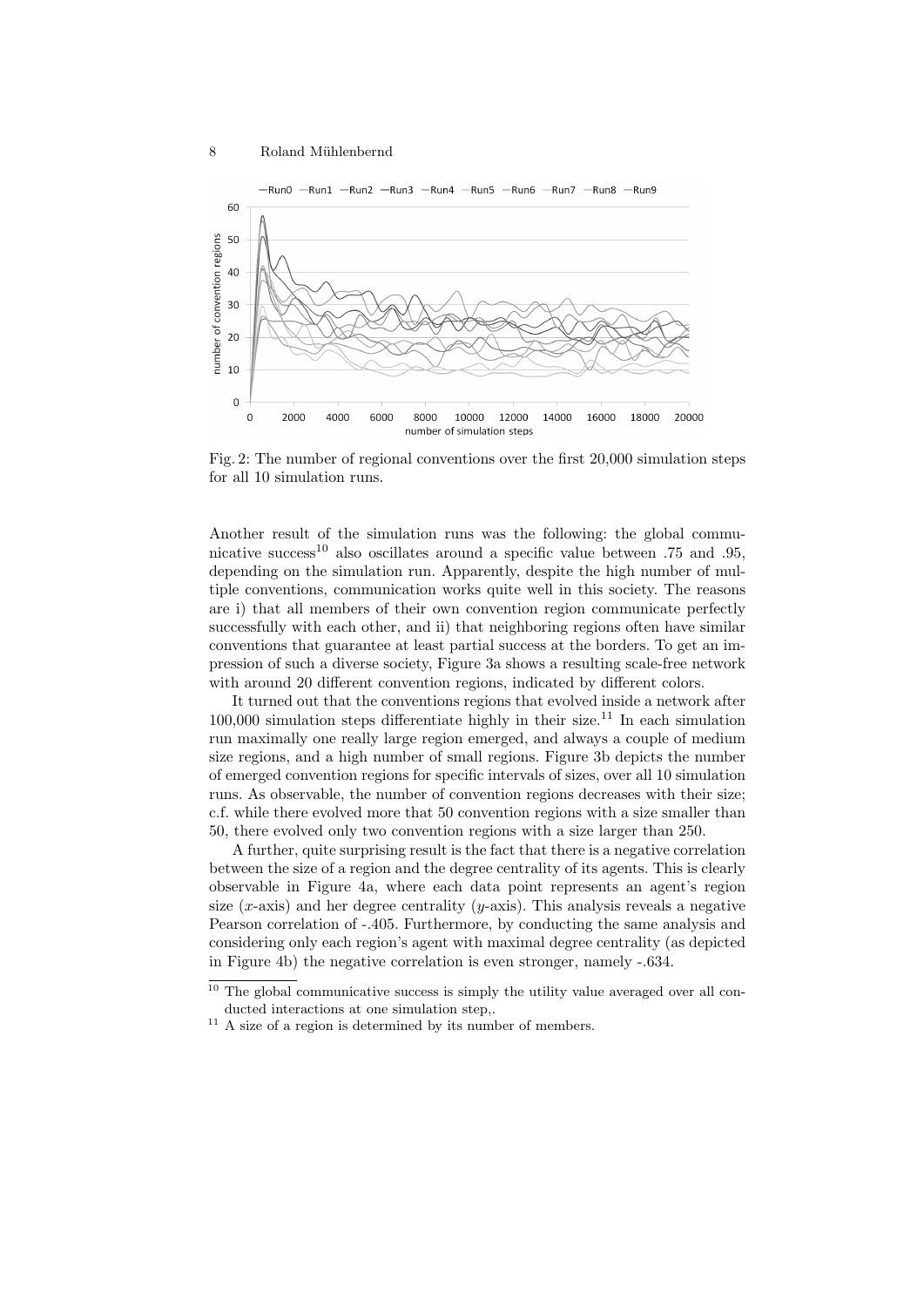

Fig. 2: The number of regional conventions over the first 20,000 simulation steps for all 10 simulation runs.

Another result of the simulation runs was the following: the global communicative success<sup>10</sup> also oscillates around a specific value between  $.75$  and  $.95$ , depending on the simulation run. Apparently, despite the high number of multiple conventions, communication works quite well in this society. The reasons are i) that all members of their own convention region communicate perfectly successfully with each other, and ii) that neighboring regions often have similar conventions that guarantee at least partial success at the borders. To get an impression of such a diverse society, Figure 3a shows a resulting scale-free network with around 20 different convention regions, indicated by different colors.

It turned out that the conventions regions that evolved inside a network after  $100,000$  simulation steps differentiate highly in their size.<sup>11</sup> In each simulation run maximally one really large region emerged, and always a couple of medium size regions, and a high number of small regions. Figure 3b depicts the number of emerged convention regions for specific intervals of sizes, over all 10 simulation runs. As observable, the number of convention regions decreases with their size; c.f. while there evolved more that 50 convention regions with a size smaller than 50, there evolved only two convention regions with a size larger than 250.

A further, quite surprising result is the fact that there is a negative correlation between the size of a region and the degree centrality of its agents. This is clearly observable in Figure 4a, where each data point represents an agent's region size  $(x\text{-axis})$  and her degree centrality  $(y\text{-axis})$ . This analysis reveals a negative Pearson correlation of -.405. Furthermore, by conducting the same analysis and considering only each region's agent with maximal degree centrality (as depicted in Figure 4b) the negative correlation is even stronger, namely -.634.

 $10$  The global communicative success is simply the utility value averaged over all conducted interactions at one simulation step,.

 $^{\rm 11}$  A size of a region is determined by its number of members.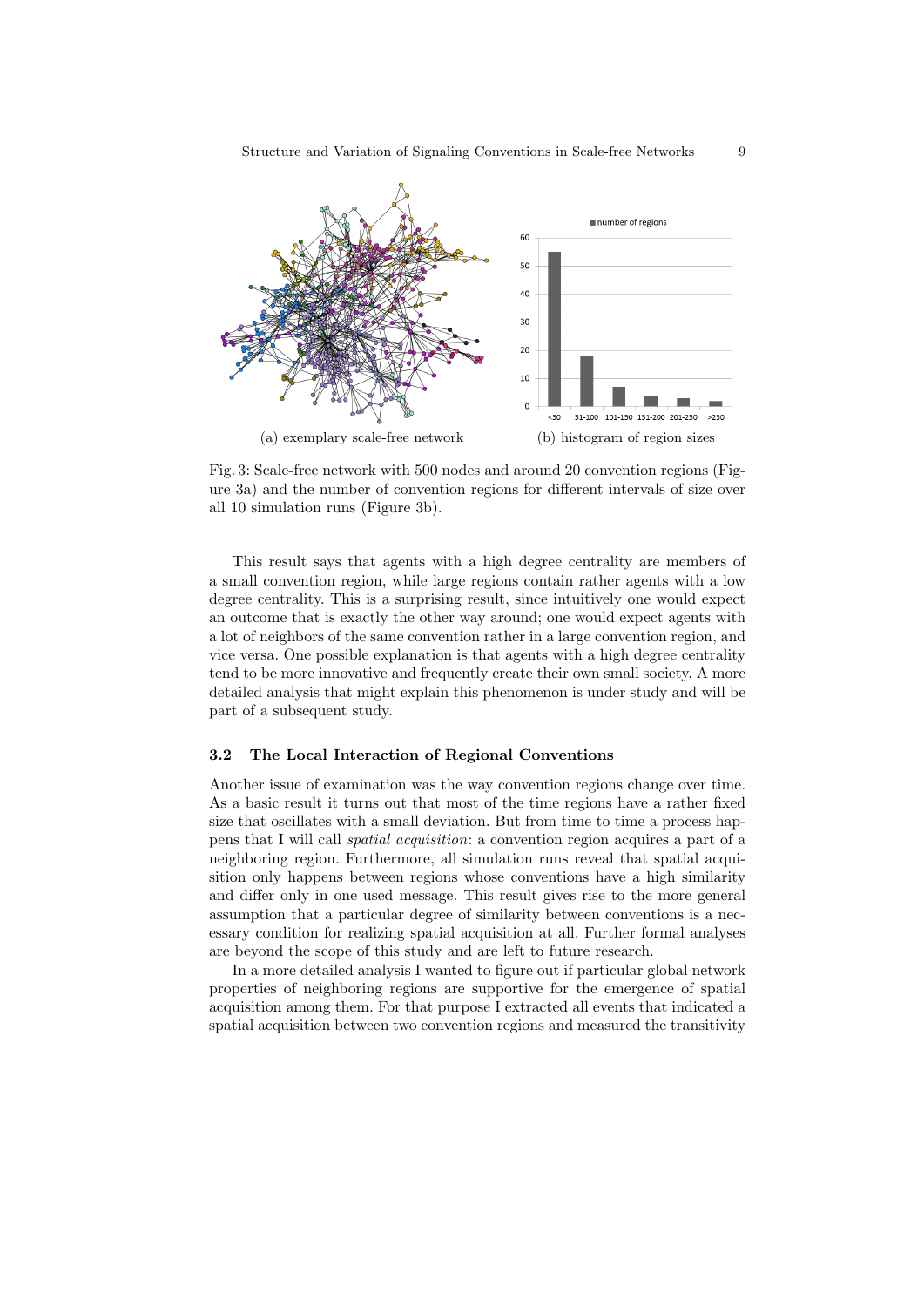

Fig. 3: Scale-free network with 500 nodes and around 20 convention regions (Figure 3a) and the number of convention regions for different intervals of size over all 10 simulation runs (Figure 3b).

This result says that agents with a high degree centrality are members of a small convention region, while large regions contain rather agents with a low degree centrality. This is a surprising result, since intuitively one would expect an outcome that is exactly the other way around; one would expect agents with a lot of neighbors of the same convention rather in a large convention region, and vice versa. One possible explanation is that agents with a high degree centrality tend to be more innovative and frequently create their own small society. A more detailed analysis that might explain this phenomenon is under study and will be part of a subsequent study.

### 3.2 The Local Interaction of Regional Conventions

Another issue of examination was the way convention regions change over time. As a basic result it turns out that most of the time regions have a rather fixed size that oscillates with a small deviation. But from time to time a process happens that I will call spatial acquisition: a convention region acquires a part of a neighboring region. Furthermore, all simulation runs reveal that spatial acquisition only happens between regions whose conventions have a high similarity and differ only in one used message. This result gives rise to the more general assumption that a particular degree of similarity between conventions is a necessary condition for realizing spatial acquisition at all. Further formal analyses are beyond the scope of this study and are left to future research.

In a more detailed analysis I wanted to figure out if particular global network properties of neighboring regions are supportive for the emergence of spatial acquisition among them. For that purpose I extracted all events that indicated a spatial acquisition between two convention regions and measured the transitivity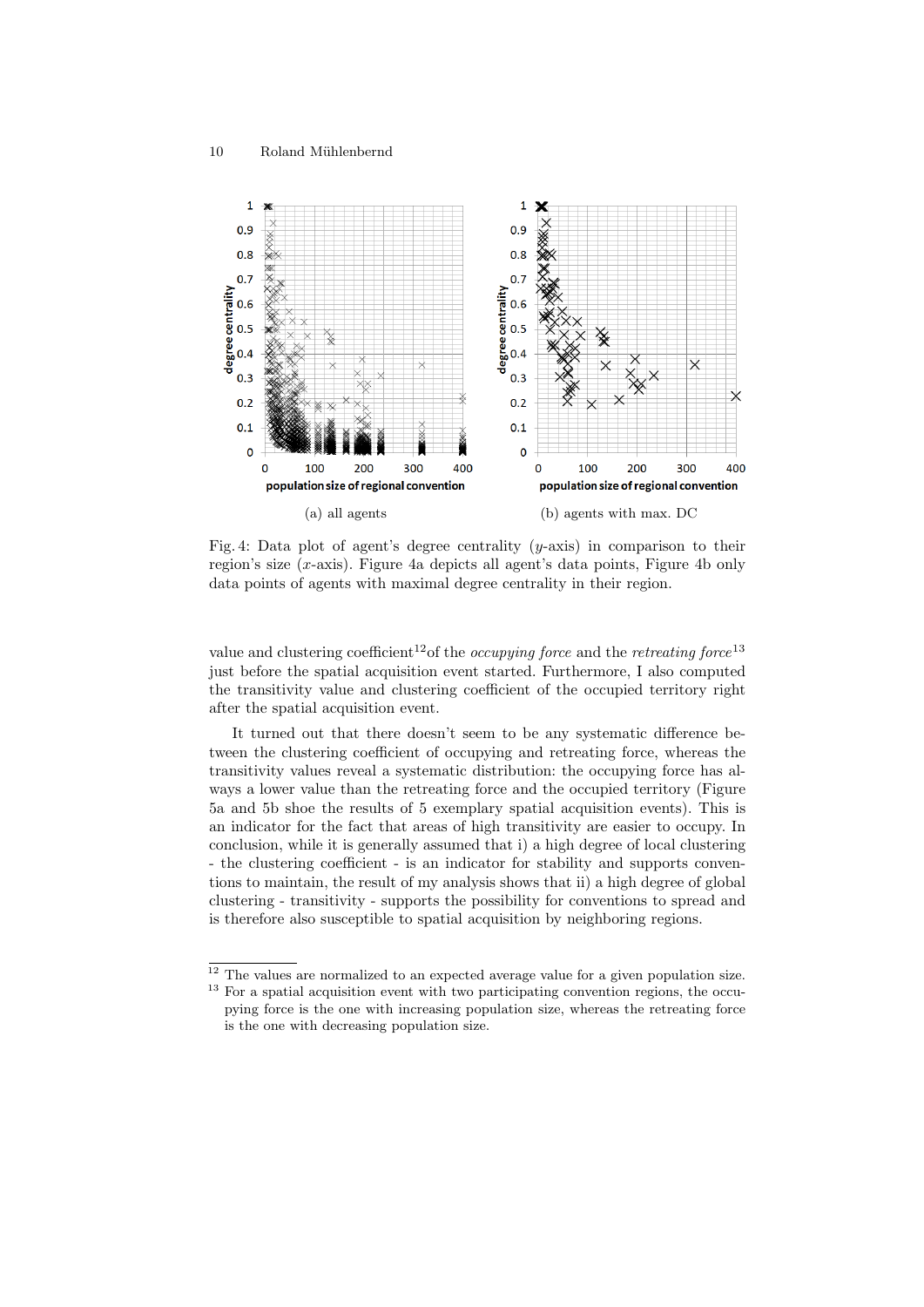

Fig. 4: Data plot of agent's degree centrality  $(y\text{-axis})$  in comparison to their region's size (x-axis). Figure 4a depicts all agent's data points, Figure 4b only data points of agents with maximal degree centrality in their region.

value and clustering coefficient<sup>12</sup>of the *occupying force* and the *retreating force*<sup>13</sup> just before the spatial acquisition event started. Furthermore, I also computed the transitivity value and clustering coefficient of the occupied territory right after the spatial acquisition event.

It turned out that there doesn't seem to be any systematic difference between the clustering coefficient of occupying and retreating force, whereas the transitivity values reveal a systematic distribution: the occupying force has always a lower value than the retreating force and the occupied territory (Figure 5a and 5b shoe the results of 5 exemplary spatial acquisition events). This is an indicator for the fact that areas of high transitivity are easier to occupy. In conclusion, while it is generally assumed that i) a high degree of local clustering - the clustering coefficient - is an indicator for stability and supports conventions to maintain, the result of my analysis shows that ii) a high degree of global clustering - transitivity - supports the possibility for conventions to spread and is therefore also susceptible to spatial acquisition by neighboring regions.

 $\frac{12}{12}$  The values are normalized to an expected average value for a given population size. <sup>13</sup> For a spatial acquisition event with two participating convention regions, the occupying force is the one with increasing population size, whereas the retreating force is the one with decreasing population size.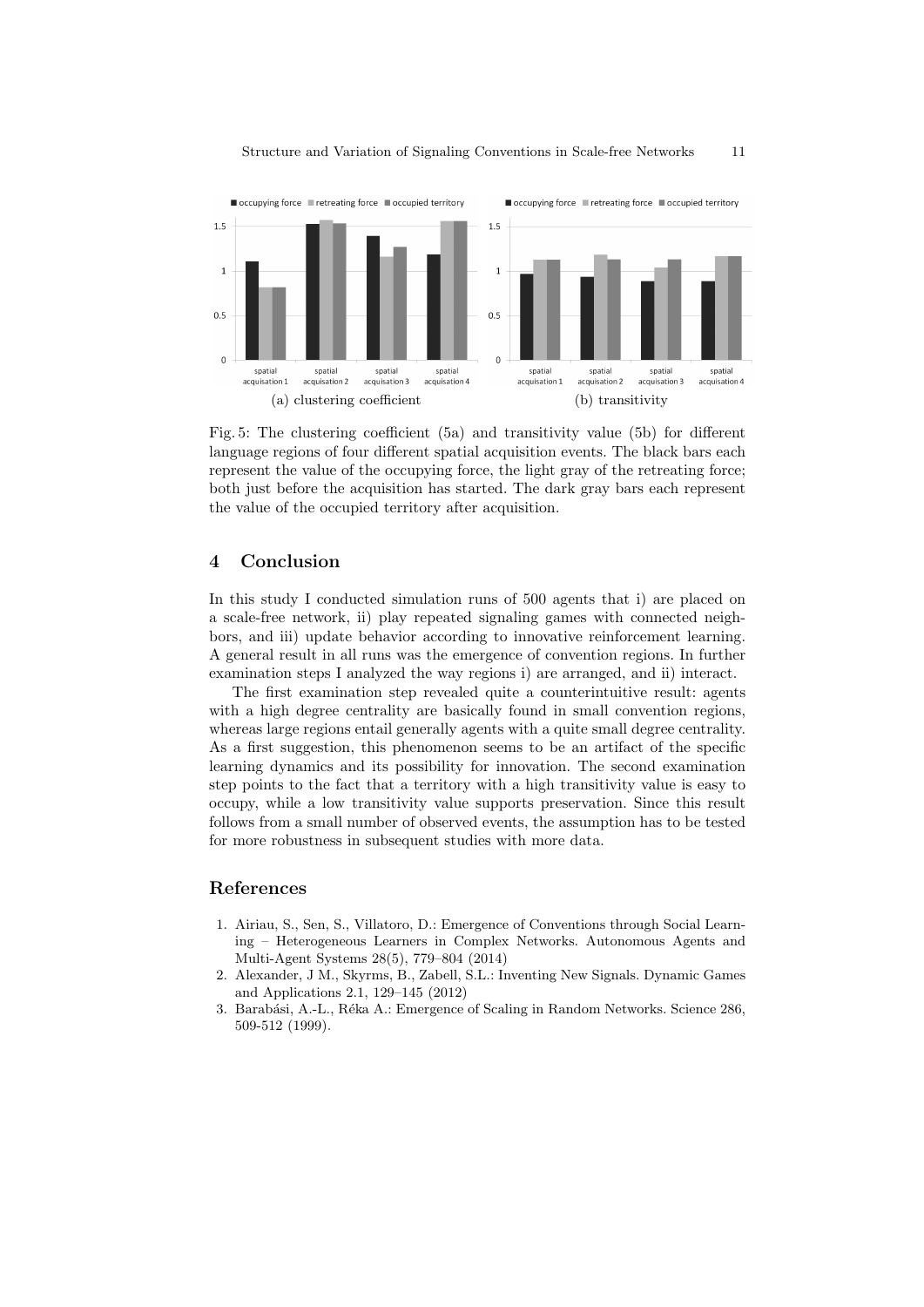

Fig. 5: The clustering coefficient (5a) and transitivity value (5b) for different language regions of four different spatial acquisition events. The black bars each represent the value of the occupying force, the light gray of the retreating force; both just before the acquisition has started. The dark gray bars each represent the value of the occupied territory after acquisition.

## 4 Conclusion

In this study I conducted simulation runs of 500 agents that i) are placed on a scale-free network, ii) play repeated signaling games with connected neighbors, and iii) update behavior according to innovative reinforcement learning. A general result in all runs was the emergence of convention regions. In further examination steps I analyzed the way regions i) are arranged, and ii) interact.

The first examination step revealed quite a counterintuitive result: agents with a high degree centrality are basically found in small convention regions, whereas large regions entail generally agents with a quite small degree centrality. As a first suggestion, this phenomenon seems to be an artifact of the specific learning dynamics and its possibility for innovation. The second examination step points to the fact that a territory with a high transitivity value is easy to occupy, while a low transitivity value supports preservation. Since this result follows from a small number of observed events, the assumption has to be tested for more robustness in subsequent studies with more data.

#### References

- 1. Airiau, S., Sen, S., Villatoro, D.: Emergence of Conventions through Social Learning – Heterogeneous Learners in Complex Networks. Autonomous Agents and Multi-Agent Systems 28(5), 779–804 (2014)
- 2. Alexander, J M., Skyrms, B., Zabell, S.L.: Inventing New Signals. Dynamic Games and Applications 2.1, 129–145 (2012)
- 3. Barabási, A.-L., Réka A.: Emergence of Scaling in Random Networks. Science 286, 509-512 (1999).